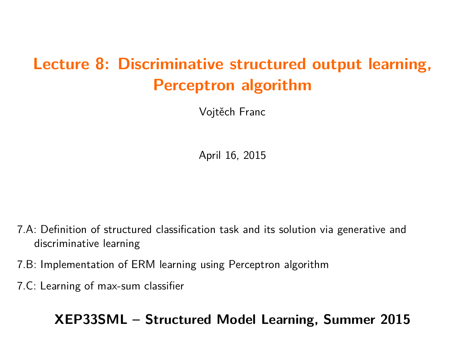# **Lecture 8: Discriminative structured output learning, Perceptron algorithm**

Vojtěch Franc

April 16, 2015

7.A: Definition of structured classification task and its solution via generative and discriminative learning

- 7.B: Implementation of ERM learning using Perceptron algorithm
- 7.C: Learning of max-sum classifier

**XEP33SML – Structured Model Learning, Summer 2015**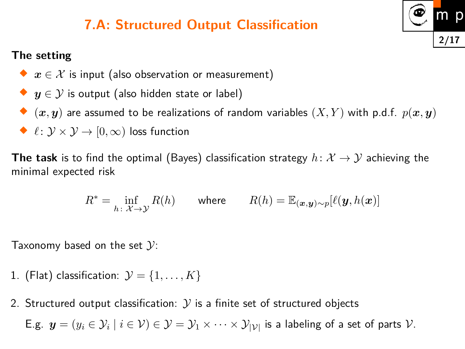# **7.A: Structured Output Classification**

#### **The setting**

- $\blacklozenge\ \ x\in\mathcal{X}$  is input (also observation or measurement)
- ◆  $\boldsymbol{y} \in \mathcal{Y}$  is output (also hidden state or label)
- $\blacklozenge$   $(\bm{x},\bm{y})$  are assumed to be realizations of random variables  $(X,Y)$  with p.d.f.  $p(\bm{x},\bm{y})$
- $\blacklozenge$   $\ell \colon \mathcal{Y} \times \mathcal{Y} \to [0,\infty)$  loss function

**The task** is to find the optimal (Bayes) classification strategy  $h\colon \mathcal{X} \to \mathcal{Y}$  achieving the minimal expected risk

$$
R^* = \inf_{h \colon \mathcal{X} \to \mathcal{Y}} R(h) \qquad \text{where} \qquad R(h) = \mathbb{E}_{(\bm{x}, \bm{y}) \sim p} [\ell(\bm{y}, h(\bm{x}))]
$$

Taxonomy based on the set  $\mathcal{Y}$ :

- 1. (Flat) classification:  $\mathcal{Y} = \{1, \ldots, K\}$
- 2. Structured output classification:  $\mathcal Y$  is a finite set of structured objects E.g.  $\bm{y}=(y_i\in\mathcal{Y}_i\mid i\in\mathcal{V})\in\mathcal{Y}=\mathcal{Y}_1\times\dots\times\mathcal{Y}_{|\mathcal{V}|}$  is a labeling of a set of parts  $\mathcal{V}.$

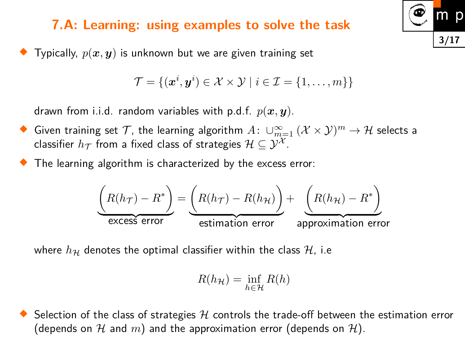#### **7.A: Learning: using examples to solve the task**

♦ Typically, *p*(*x, y*) is unknown but we are given training set

$$
\mathcal{T} = \{(\boldsymbol{x}^i, \boldsymbol{y}^i) \in \mathcal{X} \times \mathcal{Y} \mid i \in \mathcal{I} = \{1, \dots, m\}\}\
$$

drawn from i.i.d. random variables with p.d.f.  $p(x, y)$ .

- ◆ Given training set  $\mathcal T$ , the learning algorithm  $A\colon \cup_{m=1}^\infty$   $(\mathcal X \times \mathcal Y)^m \to \mathcal H$  selects a classifier  $h_{\mathcal{T}}$  from a fixed class of strategies  $\mathcal{H} \subseteq \mathcal{Y}^{\mathcal{X}}$ .
- ♦ The learning algorithm is characterized by the excess error:

$$
\underbrace{\left(R(h_{\mathcal{T}}) - R^*\right)}_{\text{excess error}} = \underbrace{\left(R(h_{\mathcal{T}}) - R(h_{\mathcal{H}})\right)}_{\text{estimation error}} + \underbrace{\left(R(h_{\mathcal{H}}) - R^*\right)}_{\text{approximation error}}
$$

where  $h_{\mathcal{H}}$  denotes the optimal classifier within the class  $\mathcal{H}$ , i.e

$$
R(h_{\mathcal{H}}) = \inf_{h \in \mathcal{H}} R(h)
$$

♦ Selection of the class of strategies  $H$  controls the trade-off between the estimation error (depends on  $\mathcal H$  and  $m$ ) and the approximation error (depends on  $\mathcal H$ ).

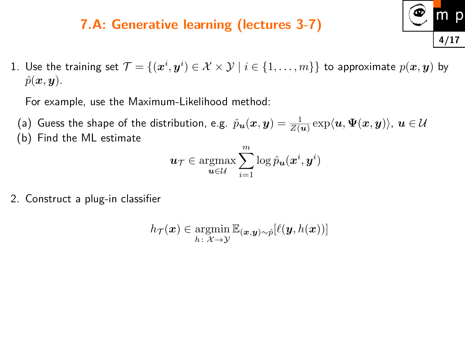### **7.A: Generative learning (lectures 3-7)**

1. Use the training set  $\mathcal{T} = \{(\bm{x}^i, \bm{y}^i) \in \mathcal{X} \times \mathcal{Y} \mid i \in \{1, \dots, m\}\}$  to approximate  $p(\bm{x}, \bm{y})$  by  $\hat{p}(\boldsymbol{x}, \boldsymbol{y})$ .

For example, use the Maximum-Likelihood method:

(a) Guess the shape of the distribution, e.g.  $\hat{p}_{\bm{u}}(\bm{x},\bm{y})=\frac{1}{Z(\bm{u})}\exp\langle\bm{u},\bm{\Psi}(\bm{x},\bm{y})\rangle$ ,  $\bm{u}\in\mathcal{U}$ (b) Find the ML estimate

$$
\boldsymbol{u}_\mathcal{T} \in \operatornamewithlimits{argmax}_{\boldsymbol{u}\in\mathcal{U}} \sum_{i=1}^m \log \hat{p}_{\boldsymbol{u}}(\boldsymbol{x}^i, \boldsymbol{y}^i)
$$

2. Construct a plug-in classifier

$$
h_{\mathcal{T}}(\bm{x}) \in \operatornamewithlimits{argmin}_{h \colon \mathcal{X} \to \mathcal{Y}} \mathbb{E}_{(\bm{x},\bm{y}) \sim \hat{p}}[\ell(\bm{y},h(\bm{x}))]
$$

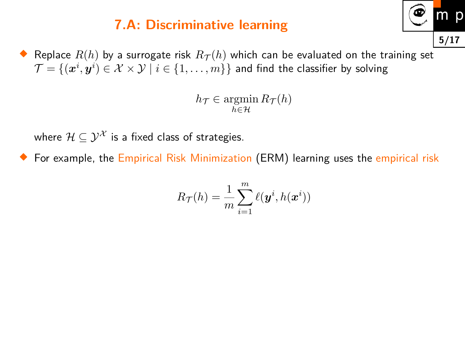### **7.A: Discriminative learning**



 $h_{\mathcal{T}} \in \operatorname{argmin} R_{\mathcal{T}}(h)$  $h \in H$ 

where  $\mathcal{H} \subseteq \mathcal{Y}^{\mathcal{X}}$  is a fixed class of strategies.

♦ For example, the Empirical Risk Minimization (ERM) learning uses the empirical risk

$$
R_{\mathcal{T}}(h) = \frac{1}{m} \sum_{i=1}^m \ell(\bm{y}^i, h(\bm{x}^i))
$$

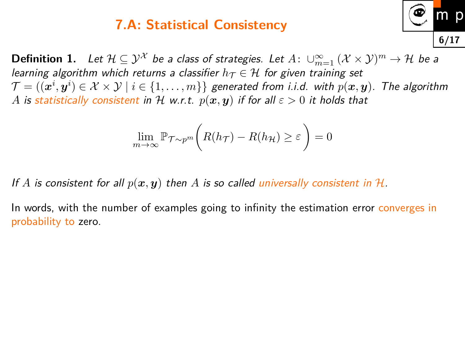#### **7.A: Statistical Consistency**

 $\textbf{Definition 1.} \quad \textit{Let } \mathcal{H} \subseteq \mathcal{Y}^\mathcal{X} \textit{ be a class of strategies.} \textit{ Let } A \colon \cup_{m=1}^\infty \left(\mathcal{X} \times \mathcal{Y}\right)^m \to \mathcal{H} \textit{ be a }$ *learning algorithm which returns a classifier*  $h_T \in H$  for given training set  $\mathcal{T} = ((\bm{x}^i, \bm{y}^i) \in \mathcal{X} \times \mathcal{Y} \mid i \in \{1, \dots, m\}\}$  generated from i.i.d. with  $p(\bm{x}, \bm{y})$ . The algorithm *A* is statistically consistent in H w.r.t.  $p(x, y)$  if for all  $\varepsilon > 0$  it holds that

**6/17**

$$
\lim_{m \to \infty} \mathbb{P}_{\mathcal{T} \sim p^m} \bigg( R(h_{\mathcal{T}}) - R(h_{\mathcal{H}}) \ge \varepsilon \bigg) = 0
$$

If  $A$  is consistent for all  $p(x, y)$  then  $A$  is so called universally consistent in  $H$ .

In words, with the number of examples going to infinity the estimation error converges in probability to zero.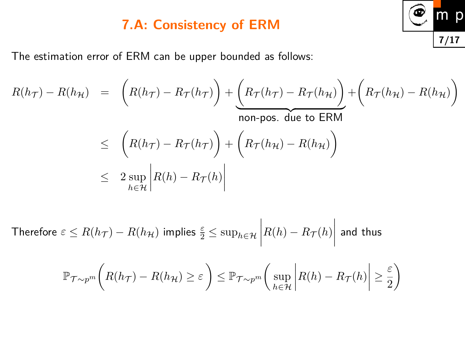### **7.A: Consistency of ERM**

The estimation error of ERM can be upper bounded as follows:

$$
R(h_{\mathcal{T}}) - R(h_{\mathcal{H}}) = \left(R(h_{\mathcal{T}}) - R_{\mathcal{T}}(h_{\mathcal{T}})\right) + \underbrace{\left(R_{\mathcal{T}}(h_{\mathcal{T}}) - R_{\mathcal{T}}(h_{\mathcal{H}})\right)}_{\text{non-pos. due to ERM}} + \left(R_{\mathcal{T}}(h_{\mathcal{H}}) - R(h_{\mathcal{H}})\right)
$$
  

$$
\leq \left(R(h_{\mathcal{T}}) - R_{\mathcal{T}}(h_{\mathcal{T}})\right) + \left(R_{\mathcal{T}}(h_{\mathcal{H}}) - R(h_{\mathcal{H}})\right)
$$
  

$$
\leq 2 \sup_{h \in \mathcal{H}} \left|R(h) - R_{\mathcal{T}}(h)\right|
$$

 $\textsf{Therefore} \, \, \varepsilon \leq R(h_\mathcal{T}) - R(h_\mathcal{H}) \,$  implies  $\frac{\varepsilon}{2} \leq \sup_{h \in \mathcal{H}}$  $\Big\}$  $\overline{\phantom{a}}$  $\overline{\phantom{a}}$  $\overline{\phantom{a}}$  $R(h) - R_{\mathcal{T}}(h)$  $\begin{array}{c} \hline \end{array}$  $\overline{\phantom{a}}$  $\overline{\phantom{a}}$  $\vert$ and thus

$$
\mathbb{P}_{\mathcal{T}\sim p^m}\bigg(R(h_{\mathcal{T}}) - R(h_{\mathcal{H}}) \ge \varepsilon\bigg) \le \mathbb{P}_{\mathcal{T}\sim p^m}\bigg(\sup_{h\in\mathcal{H}}\bigg|R(h) - R_{\mathcal{T}}(h)\bigg| \ge \frac{\varepsilon}{2}\bigg)
$$

$$
\begin{array}{c}\n\textcircled{\color{red}m} \\
\hline\n\end{array}
$$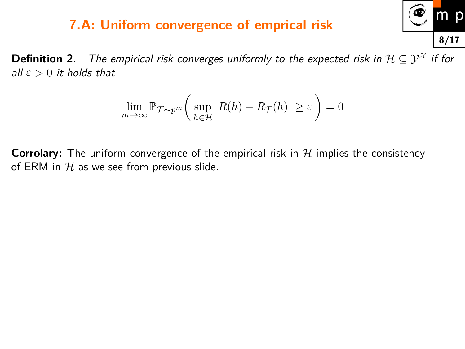#### **7.A: Uniform convergence of emprical risk**

**Definition 2.** The empirical risk converges uniformly to the expected risk in  $\mathcal{H} \subseteq \mathcal{Y}^{\mathcal{X}}$  if for all  $\varepsilon > 0$  it holds that

$$
\lim_{m \to \infty} \mathbb{P}_{\mathcal{T} \sim p^m} \bigg( \sup_{h \in \mathcal{H}} \bigg| R(h) - R_{\mathcal{T}}(h) \bigg| \ge \varepsilon \bigg) = 0
$$

**Corrolary:** The uniform convergence of the empirical risk in  $H$  implies the consistency of ERM in  $H$  as we see from previous slide.

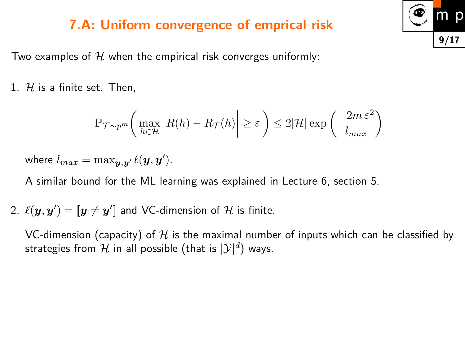#### **7.A: Uniform convergence of emprical risk**

Two examples of  $H$  when the empirical risk converges uniformly:

1.  $H$  is a finite set. Then,

$$
\mathbb{P}_{\mathcal{T} \sim p^m} \bigg( \max_{h \in \mathcal{H}} \bigg| R(h) - R_{\mathcal{T}}(h) \bigg| \ge \varepsilon \bigg) \le 2|\mathcal{H}| \exp \bigg( \frac{-2m \,\varepsilon^2}{l_{max}} \bigg)
$$

where  $l_{max} = \max_{\bm{y}, \bm{y}'} \ell(\bm{y}, \bm{y}').$ 

A similar bound for the ML learning was explained in Lecture 6, section 5.

2.  $\ell(\bm{y},\bm{y}') = [\bm{y} \neq \bm{y}']$  and VC-dimension of  ${\cal H}$  is finite.

VC-dimension (capacity) of  $H$  is the maximal number of inputs which can be classified by strategies from  ${\mathcal H}$  in all possible (that is  $|{\mathcal Y}|^d)$  ways.

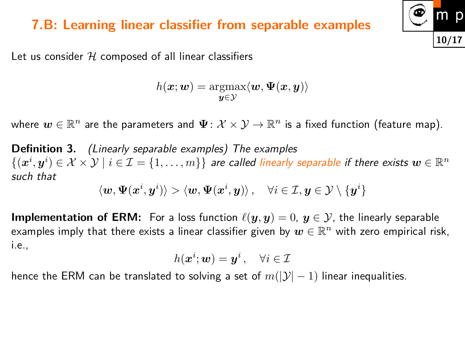#### **7.B: Learning linear classifier from separable examples**

Let us consider  $H$  composed of all linear classifiers

$$
h({\bm{x}};{\bm{w}}) = \operatornamewithlimits{argmax}_{{\bm{y}}\in\mathcal{Y}} \langle {\bm{w}}, \bm{\Psi}({\bm{x}},{\bm{y}}) \rangle
$$

where  $\bm{w}\in\mathbb{R}^n$  are the parameters and  $\bm{\Psi}\colon{\cal X}\times\mathcal{Y}\to\mathbb{R}^n$  is a fixed function (feature map).

**Definition 3.** (Linearly separable examples) The examples  $\{(\bm{x}^i,\bm{y}^i)\in\mathcal{X}\times\mathcal{Y}\mid i\in\mathcal{I}=\{1,\ldots,m\}\}$  are called linearly separable if there exists  $\bm{w}\in\mathbb{R}^n$ such that

$$
\left\langle \boldsymbol{w}, \boldsymbol{\Psi}(\boldsymbol{x}^{i}, \boldsymbol{y}^{i})\right\rangle > \left\langle \boldsymbol{w}, \boldsymbol{\Psi}(\boldsymbol{x}^{i}, \boldsymbol{y})\right\rangle, \quad \forall i \in \mathcal{I}, \boldsymbol{y} \in \mathcal{Y} \setminus \{\boldsymbol{y}^{i}\}
$$

**Implementation of ERM:** For a loss function  $\ell(\mathbf{y}, \mathbf{y}) = 0$ ,  $\mathbf{y} \in \mathcal{Y}$ , the linearly separable examples imply that there exists a linear classifier given by  $\bm{w}\in\mathbb{R}^n$  with zero empirical risk, i.e.,

$$
h(\bm x^i;\bm w)=\bm y^i\,,\quad \forall i\in\mathcal{I}
$$

hence the ERM can be translated to solving a set of  $m(|\mathcal{Y}|-1)$  linear inequalities.

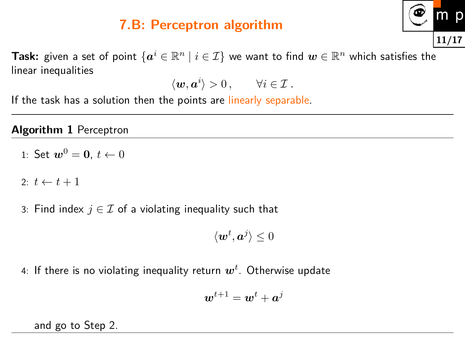### **7.B: Perceptron algorithm**



**Task:** given a set of point  $\{ \boldsymbol{a}^i \in \mathbb{R}^n \mid i \in \mathcal{I} \}$  we want to find  $\boldsymbol{w} \in \mathbb{R}^n$  which satisfies the linear inequalities

$$
\langle \boldsymbol{w}, \boldsymbol{a}^i \rangle > 0 \,, \qquad \forall i \in \mathcal{I} \,.
$$

If the task has a solution then the points are linearly separable.

#### **Algorithm 1** Perceptron

1: Set 
$$
w^0 = 0
$$
,  $t \leftarrow 0$ 

2:  $t \leftarrow t + 1$ 

3: Find index  $j \in \mathcal{I}$  of a violating inequality such that

$$
\langle \bm{w}^t, \bm{a}^j \rangle \leq 0
$$

4: If there is no violating inequality return *w<sup>t</sup>* . Otherwise update

$$
\boldsymbol{w}^{t+1} = \boldsymbol{w}^{t} + \boldsymbol{a}^{j}
$$

and go to Step 2.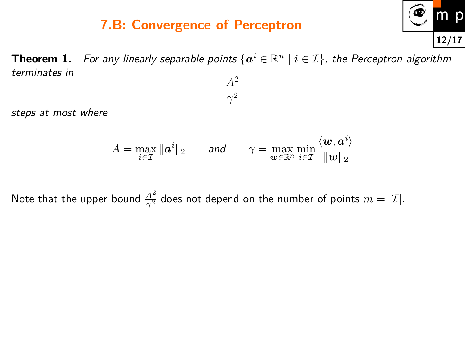### **7.B: Convergence of Perceptron**



<span id="page-11-0"></span>**Theorem 1.** For any linearly separable points  $\{\boldsymbol{a}^i \in \mathbb{R}^n \mid i \in \mathcal{I}\}$ , the Perceptron algorithm terminates in *A*<sup>2</sup>

 $\gamma^2$ 

steps at most where

$$
A = \max_{i \in \mathcal{I}} \|\bm{a}^i\|_2 \qquad \text{and} \qquad \gamma = \max_{\bm{w} \in \mathbb{R}^n} \min_{i \in \mathcal{I}} \frac{\langle \bm{w}, \bm{a}^i \rangle}{\|\bm{w}\|_2}
$$

Note that the upper bound  $\frac{A^2}{\gamma^2}$  does not depend on the number of points  $m=|\mathcal{I}|.$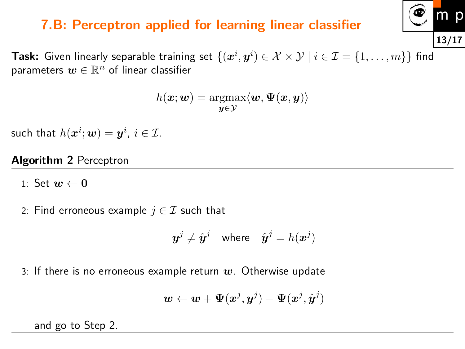#### **7.B: Perceptron applied for learning linear classifier**

 $\bf{Task:}$  Given linearly separable training set  $\{(\bm{x}^i, \bm{y}^i) \in \mathcal{X} \times \mathcal{Y} \mid i \in \mathcal{I} = \{1, \dots, m\}\}$  find parameters  $\boldsymbol{w}\in\mathbb{R}^n$  of linear classifier

$$
h(\bm{x};\bm{w}) = \operatornamewithlimits{argmax}_{\bm{y} \in \mathcal{Y}} \langle \bm{w}, \bm{\Psi}(\bm{x},\bm{y}) \rangle
$$

such that  $h(\boldsymbol{x}^i;\boldsymbol{w})=\boldsymbol{y}^i$ ,  $i\in\mathcal{I}$ .

#### **Algorithm 2** Perceptron

1: Set  $w \leftarrow 0$ 

2: Find erroneous example  $j \in \mathcal{I}$  such that

$$
\boldsymbol{y}^j \neq \hat{\boldsymbol{y}}^j \quad \text{where} \quad \hat{\boldsymbol{y}}^j = h(\boldsymbol{x}^j)
$$

3: If there is no erroneous example return *w*. Otherwise update

$$
\boldsymbol{w} \leftarrow \boldsymbol{w} + \boldsymbol{\Psi}(\boldsymbol{x}^j, \boldsymbol{y}^j) - \boldsymbol{\Psi}(\boldsymbol{x}^j, \hat{\boldsymbol{y}}^j)
$$

and go to Step 2.

$$
\begin{array}{c}\n\textcircled{\color{blue} m} \\
\hline\n\end{array}
$$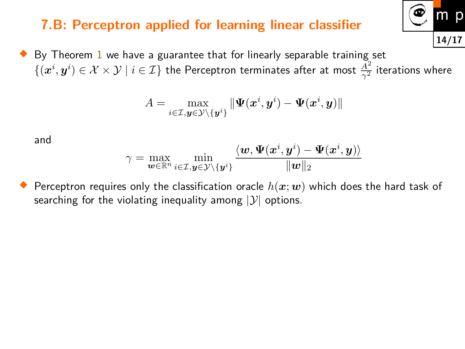### **7.B: Perceptron applied for learning linear classifier**

 $\blacklozenge$  By Theorem [1](#page-11-0) we have a guarantee that for linearly separable training set  $\{(\bm{x}^i, \bm{y}^i) \in \mathcal{X} \times \mathcal{Y} \mid i \in \mathcal{I}\}$  the Perceptron terminates after at most  $\frac{\bar{A}^2}{\gamma^2}$  $\frac{A^2}{\gamma^2}$  iterations where

$$
A = \max_{i \in \mathcal{I}, \boldsymbol{y} \in \mathcal{Y} \setminus \{\boldsymbol{y}^i\}} \|\boldsymbol{\Psi}(\boldsymbol{x}^i, \boldsymbol{y}^i) - \boldsymbol{\Psi}(\boldsymbol{x}^i, \boldsymbol{y})\|
$$

and

$$
\gamma = \max_{\bm{w} \in \mathbb{R}^n} \min_{i \in \mathcal{I}, \bm{y} \in \mathcal{Y} \setminus \{\bm{y}^i\}} \frac{\langle \bm{w}, \bm{\Psi}(\bm{x}^i, \bm{y}^i) - \bm{\Psi}(\bm{x}^i, \bm{y}) \rangle}{\|\bm{w}\|_2}
$$

♦ Perceptron requires only the classification oracle  $h(x; w)$  which does the hard task of searching for the violating inequality among  $|y|$  options.

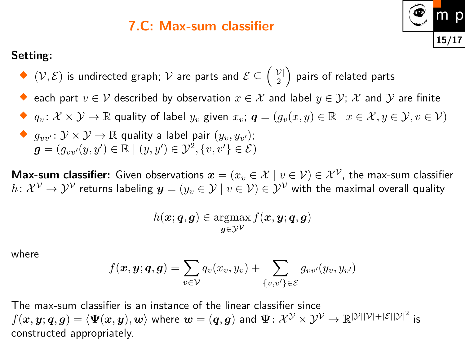#### **7.C: Max-sum classifier**

#### **Setting:**

- $\blacklozenge$   $(\mathcal{V}, \mathcal{E})$  is undirected graph;  $\mathcal{V}$  are parts and  $\mathcal{E} \subseteq \binom{|\mathcal{V}|}{2}$ 2  $\setminus$ pairs of related parts
- $\blacklozenge$  each part  $v \in \mathcal{V}$  described by observation  $x \in \mathcal{X}$  and label  $y \in \mathcal{Y};$   $\mathcal{X}$  and  $\mathcal{Y}$  are finite

**15/17**

- ◆  $q_v: \mathcal{X} \times \mathcal{Y} \to \mathbb{R}$  quality of label  $y_v$  given  $x_v$ ;  $q = (g_v(x, y) \in \mathbb{R} \mid x \in \mathcal{X}, y \in \mathcal{Y}, v \in \mathcal{V})$
- $\blacklozenge$   $g_{vv'}: \mathcal{Y} \times \mathcal{Y} \rightarrow \mathbb{R}$  quality a label pair  $(y_v, y_{v'});$  $\boldsymbol{g} = (g_{vv'}(y,y')\in \mathbb{R} \mid (y,y')\in \mathcal{Y}^2, \{v,v'\} \in \mathcal{E})$

**Max-sum classifier:** Given observations  $x = (x_v \in \mathcal{X} \mid v \in \mathcal{V}) \in \mathcal{X}^{\mathcal{V}}$ , the max-sum classifier  $h\colon{\cal X}^{\cal V}\to{\cal Y}^{\cal V}$  returns labeling  $\bm{y}=(y_v\in{\cal Y}\,|\,v\in{\cal V})\in{\cal Y}^{\cal V}$  with the maximal overall quality

$$
h(\boldsymbol{x};\boldsymbol{q},\boldsymbol{g})\in\operatornamewithlimits{argmax}_{\boldsymbol{y}\in\mathcal{Y}^{\mathcal{V}}}f(\boldsymbol{x},\boldsymbol{y};\boldsymbol{q},\boldsymbol{g})
$$

where

$$
f(\boldsymbol{x}, \boldsymbol{y}; \boldsymbol{q}, \boldsymbol{g}) = \sum_{v \in \mathcal{V}} q_v(x_v, y_v) + \sum_{\{v, v'\} \in \mathcal{E}} g_{vv'}(y_v, y_{v'})
$$

The max-sum classifier is an instance of the linear classifier since  $f(\bm{x},\bm{y};\bm{q},\bm{g}) = \langle \Psi(\bm{x},\bm{y}), \bm{w} \rangle$  where  $\bm{w} = (\bm{q},\bm{g})$  and  $\Psi \colon \mathcal{X}^\mathcal{Y} \times \mathcal{Y}^\mathcal{V} \to \mathbb{R}^{|\mathcal{Y}||\mathcal{V}| + |\mathcal{E}||\mathcal{Y}|^2}$  is constructed appropriately.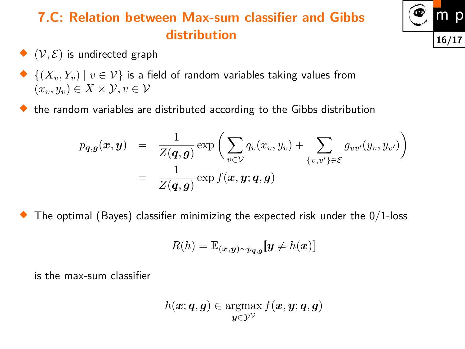# **7.C: Relation between Max-sum classifier and Gibbs distribution**

- $\blacklozenge$   $(\mathcal{V}, \mathcal{E})$  is undirected graph
- $\blacklozenge\ \{(X_v,Y_v)\mid v\in\mathcal{V}\}$  is a field of random variables taking values from  $(x_v, y_v) \in X \times \mathcal{Y}, v \in \mathcal{V}$
- $\blacklozenge$  the random variables are distributed according to the Gibbs distribution

$$
p_{\boldsymbol{q},\boldsymbol{g}}(\boldsymbol{x},\boldsymbol{y}) = \frac{1}{Z(\boldsymbol{q},\boldsymbol{g})} \exp\bigg(\sum_{v\in\mathcal{V}} q_v(x_v,y_v) + \sum_{\{v,v'\}\in\mathcal{E}} g_{vv'}(y_v,y_{v'})\bigg)
$$
  
= 
$$
\frac{1}{Z(\boldsymbol{q},\boldsymbol{g})} \exp f(\boldsymbol{x},\boldsymbol{y};\boldsymbol{q},\boldsymbol{g})
$$

♦ The optimal (Bayes) classifier minimizing the expected risk under the  $0/1$ -loss

$$
R(h) = \mathbb{E}_{(\boldsymbol{x}, \boldsymbol{y}) \sim p_{\boldsymbol{q}, \boldsymbol{g}}}[\boldsymbol{y} \neq h(\boldsymbol{x})]
$$

is the max-sum classifier

$$
h(\boldsymbol{x};\boldsymbol{q},\boldsymbol{g})\in\operatornamewithlimits{argmax}_{\boldsymbol{y}\in\mathcal{Y}^{\mathcal{V}}}f(\boldsymbol{x},\boldsymbol{y};\boldsymbol{q},\boldsymbol{g})
$$